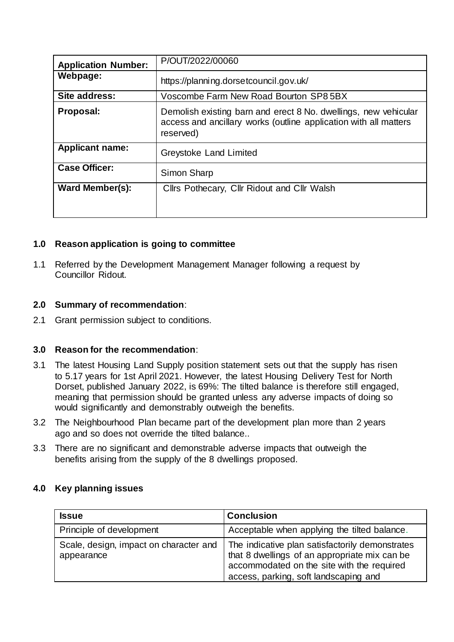| <b>Application Number:</b> | P/OUT/2022/00060                                                                                                                                 |
|----------------------------|--------------------------------------------------------------------------------------------------------------------------------------------------|
| Webpage:                   | https://planning.dorsetcouncil.gov.uk/                                                                                                           |
| Site address:              | Voscombe Farm New Road Bourton SP8 5BX                                                                                                           |
| Proposal:                  | Demolish existing barn and erect 8 No. dwellings, new vehicular<br>access and ancillary works (outline application with all matters<br>reserved) |
| <b>Applicant name:</b>     | Greystoke Land Limited                                                                                                                           |
| <b>Case Officer:</b>       | Simon Sharp                                                                                                                                      |
| <b>Ward Member(s):</b>     | Cllrs Pothecary, Cllr Ridout and Cllr Walsh                                                                                                      |

## **1.0 Reason application is going to committee**

1.1 Referred by the Development Management Manager following a request by Councillor Ridout.

## **2.0 Summary of recommendation**:

2.1 Grant permission subject to conditions.

# **3.0 Reason for the recommendation**:

- 3.1 The latest Housing Land Supply position statement sets out that the supply has risen to 5.17 years for 1st April 2021. However, the latest Housing Delivery Test for North Dorset, published January 2022, is 69%: The tilted balance is therefore still engaged, meaning that permission should be granted unless any adverse impacts of doing so would significantly and demonstrably outweigh the benefits.
- 3.2 The Neighbourhood Plan became part of the development plan more than 2 years ago and so does not override the tilted balance..
- 3.3 There are no significant and demonstrable adverse impacts that outweigh the benefits arising from the supply of the 8 dwellings proposed.

# **4.0 Key planning issues**

| <b>Issue</b>                                         | <b>Conclusion</b>                                                                                                                                                                       |
|------------------------------------------------------|-----------------------------------------------------------------------------------------------------------------------------------------------------------------------------------------|
| Principle of development                             | Acceptable when applying the tilted balance.                                                                                                                                            |
| Scale, design, impact on character and<br>appearance | The indicative plan satisfactorily demonstrates<br>that 8 dwellings of an appropriate mix can be<br>accommodated on the site with the required<br>access, parking, soft landscaping and |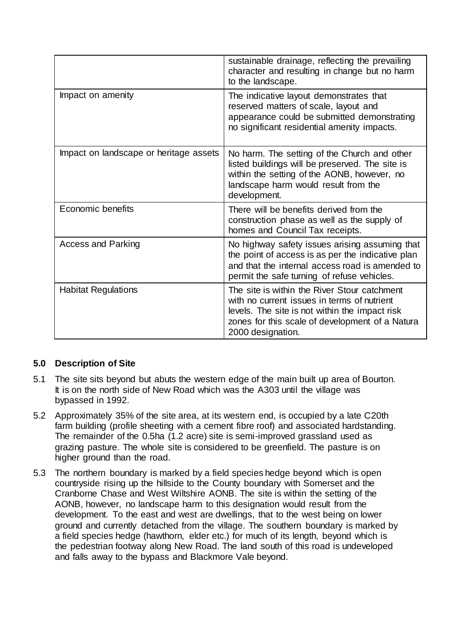|                                        | sustainable drainage, reflecting the prevailing<br>character and resulting in change but no harm<br>to the landscape.                                                                                                 |
|----------------------------------------|-----------------------------------------------------------------------------------------------------------------------------------------------------------------------------------------------------------------------|
| Impact on amenity                      | The indicative layout demonstrates that<br>reserved matters of scale, layout and<br>appearance could be submitted demonstrating<br>no significant residential amenity impacts.                                        |
| Impact on landscape or heritage assets | No harm. The setting of the Church and other<br>listed buildings will be preserved. The site is<br>within the setting of the AONB, however, no<br>landscape harm would result from the<br>development.                |
| Economic benefits                      | There will be benefits derived from the<br>construction phase as well as the supply of<br>homes and Council Tax receipts.                                                                                             |
| <b>Access and Parking</b>              | No highway safety issues arising assuming that<br>the point of access is as per the indicative plan<br>and that the internal access road is amended to<br>permit the safe turning of refuse vehicles.                 |
| <b>Habitat Regulations</b>             | The site is within the River Stour catchment<br>with no current issues in terms of nutrient<br>levels. The site is not within the impact risk<br>zones for this scale of development of a Natura<br>2000 designation. |

# **5.0 Description of Site**

- 5.1 The site sits beyond but abuts the western edge of the main built up area of Bourton. It is on the north side of New Road which was the A303 until the village was bypassed in 1992.
- 5.2 Approximately 35% of the site area, at its western end, is occupied by a late C20th farm building (profile sheeting with a cement fibre roof) and associated hardstanding. The remainder of the 0.5ha (1.2 acre) site is semi-improved grassland used as grazing pasture. The whole site is considered to be greenfield. The pasture is on higher ground than the road.
- 5.3 The northern boundary is marked by a field species hedge beyond which is open countryside rising up the hillside to the County boundary with Somerset and the Cranborne Chase and West Wiltshire AONB. The site is within the setting of the AONB, however, no landscape harm to this designation would result from the development. To the east and west are dwellings, that to the west being on lower ground and currently detached from the village. The southern boundary is marked by a field species hedge (hawthorn, elder etc.) for much of its length, beyond which is the pedestrian footway along New Road. The land south of this road is undeveloped and falls away to the bypass and Blackmore Vale beyond.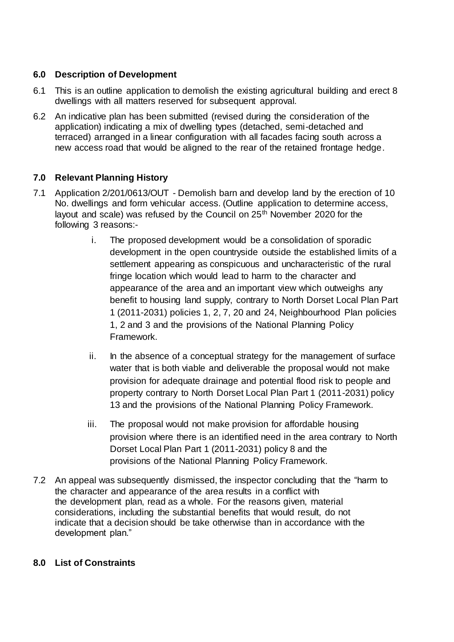# **6.0 Description of Development**

- 6.1 This is an outline application to demolish the existing agricultural building and erect 8 dwellings with all matters reserved for subsequent approval.
- 6.2 An indicative plan has been submitted (revised during the consideration of the application) indicating a mix of dwelling types (detached, semi-detached and terraced) arranged in a linear configuration with all facades facing south across a new access road that would be aligned to the rear of the retained frontage hedge.

# **7.0 Relevant Planning History**

- 7.1 Application 2/201/0613/OUT Demolish barn and develop land by the erection of 10 No. dwellings and form vehicular access. (Outline application to determine access, layout and scale) was refused by the Council on 25<sup>th</sup> November 2020 for the following 3 reasons:
	- i. The proposed development would be a consolidation of sporadic development in the open countryside outside the established limits of a settlement appearing as conspicuous and uncharacteristic of the rural fringe location which would lead to harm to the character and appearance of the area and an important view which outweighs any benefit to housing land supply, contrary to North Dorset Local Plan Part 1 (2011-2031) policies 1, 2, 7, 20 and 24, Neighbourhood Plan policies 1, 2 and 3 and the provisions of the National Planning Policy Framework.
	- ii. In the absence of a conceptual strategy for the management of surface water that is both viable and deliverable the proposal would not make provision for adequate drainage and potential flood risk to people and property contrary to North Dorset Local Plan Part 1 (2011-2031) policy 13 and the provisions of the National Planning Policy Framework.
	- iii. The proposal would not make provision for affordable housing provision where there is an identified need in the area contrary to North Dorset Local Plan Part 1 (2011-2031) policy 8 and the provisions of the National Planning Policy Framework.
- 7.2 An appeal was subsequently dismissed, the inspector concluding that the "harm to the character and appearance of the area results in a conflict with the development plan, read as a whole. For the reasons given, material considerations, including the substantial benefits that would result, do not indicate that a decision should be take otherwise than in accordance with the development plan."

# **8.0 List of Constraints**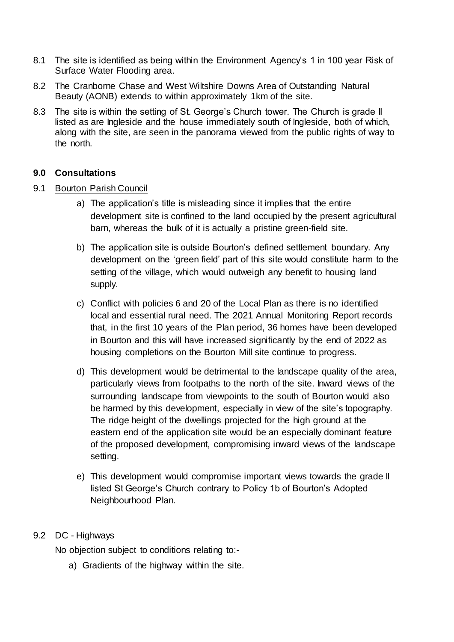- 8.1 The site is identified as being within the Environment Agency's 1 in 100 year Risk of Surface Water Flooding area.
- 8.2 The Cranborne Chase and West Wiltshire Downs Area of Outstanding Natural Beauty (AONB) extends to within approximately 1km of the site.
- 8.3 The site is within the setting of St. George's Church tower. The Church is grade II listed as are Ingleside and the house immediately south of Ingleside, both of which, along with the site, are seen in the panorama viewed from the public rights of way to the north.

## **9.0 Consultations**

## 9.1 Bourton Parish Council

- a) The application's title is misleading since it implies that the entire development site is confined to the land occupied by the present agricultural barn, whereas the bulk of it is actually a pristine green-field site.
- b) The application site is outside Bourton's defined settlement boundary. Any development on the 'green field' part of this site would constitute harm to the setting of the village, which would outweigh any benefit to housing land supply.
- c) Conflict with policies 6 and 20 of the Local Plan as there is no identified local and essential rural need. The 2021 Annual Monitoring Report records that, in the first 10 years of the Plan period, 36 homes have been developed in Bourton and this will have increased significantly by the end of 2022 as housing completions on the Bourton Mill site continue to progress.
- d) This development would be detrimental to the landscape quality of the area, particularly views from footpaths to the north of the site. Inward views of the surrounding landscape from viewpoints to the south of Bourton would also be harmed by this development, especially in view of the site's topography. The ridge height of the dwellings projected for the high ground at the eastern end of the application site would be an especially dominant feature of the proposed development, compromising inward views of the landscape setting.
- e) This development would compromise important views towards the grade II listed St George's Church contrary to Policy 1b of Bourton's Adopted Neighbourhood Plan.

## 9.2 DC - Highways

No objection subject to conditions relating to:-

a) Gradients of the highway within the site.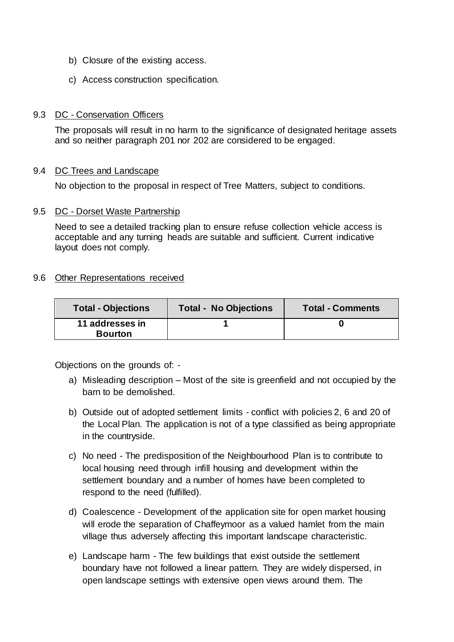- b) Closure of the existing access.
- c) Access construction specification.

#### 9.3 DC - Conservation Officers

The proposals will result in no harm to the significance of designated heritage assets and so neither paragraph 201 nor 202 are considered to be engaged.

### 9.4 DC Trees and Landscape

No objection to the proposal in respect of Tree Matters, subject to conditions.

#### 9.5 DC - Dorset Waste Partnership

Need to see a detailed tracking plan to ensure refuse collection vehicle access is acceptable and any turning heads are suitable and sufficient. Current indicative layout does not comply.

### 9.6 Other Representations received

| <b>Total - Objections</b>         | <b>Total - No Objections</b> | <b>Total - Comments</b> |
|-----------------------------------|------------------------------|-------------------------|
| 11 addresses in<br><b>Bourton</b> |                              |                         |

Objections on the grounds of: -

- a) Misleading description Most of the site is greenfield and not occupied by the barn to be demolished.
- b) Outside out of adopted settlement limits conflict with policies 2, 6 and 20 of the Local Plan. The application is not of a type classified as being appropriate in the countryside.
- c) No need The predisposition of the Neighbourhood Plan is to contribute to local housing need through infill housing and development within the settlement boundary and a number of homes have been completed to respond to the need (fulfilled).
- d) Coalescence Development of the application site for open market housing will erode the separation of Chaffeymoor as a valued hamlet from the main village thus adversely affecting this important landscape characteristic.
- e) Landscape harm The few buildings that exist outside the settlement boundary have not followed a linear pattern. They are widely dispersed, in open landscape settings with extensive open views around them. The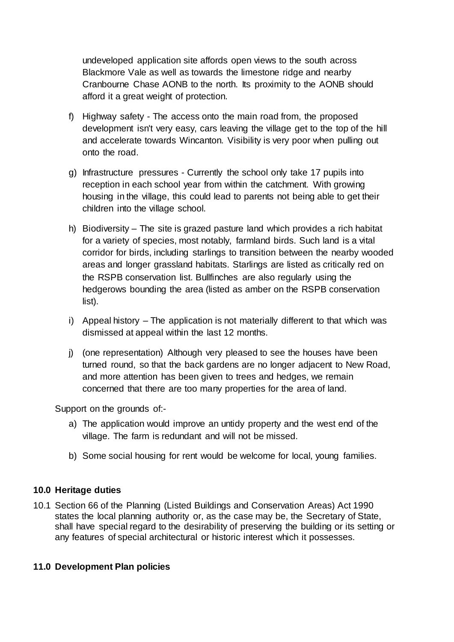undeveloped application site affords open views to the south across Blackmore Vale as well as towards the limestone ridge and nearby Cranbourne Chase AONB to the north. Its proximity to the AONB should afford it a great weight of protection.

- f) Highway safety The access onto the main road from, the proposed development isn't very easy, cars leaving the village get to the top of the hill and accelerate towards Wincanton. Visibility is very poor when pulling out onto the road.
- g) Infrastructure pressures Currently the school only take 17 pupils into reception in each school year from within the catchment. With growing housing in the village, this could lead to parents not being able to get their children into the village school.
- h) Biodiversity The site is grazed pasture land which provides a rich habitat for a variety of species, most notably, farmland birds. Such land is a vital corridor for birds, including starlings to transition between the nearby wooded areas and longer grassland habitats. Starlings are listed as critically red on the RSPB conservation list. Bullfinches are also regularly using the hedgerows bounding the area (listed as amber on the RSPB conservation list).
- i) Appeal history The application is not materially different to that which was dismissed at appeal within the last 12 months.
- j) (one representation) Although very pleased to see the houses have been turned round, so that the back gardens are no longer adjacent to New Road, and more attention has been given to trees and hedges, we remain concerned that there are too many properties for the area of land.

Support on the grounds of:-

- a) The application would improve an untidy property and the west end of the village. The farm is redundant and will not be missed.
- b) Some social housing for rent would be welcome for local, young families.

# **10.0 Heritage duties**

10.1 Section 66 of the Planning (Listed Buildings and Conservation Areas) Act 1990 states the local planning authority or, as the case may be, the Secretary of State, shall have special regard to the desirability of preserving the building or its setting or any features of special architectural or historic interest which it possesses.

# **11.0 Development Plan policies**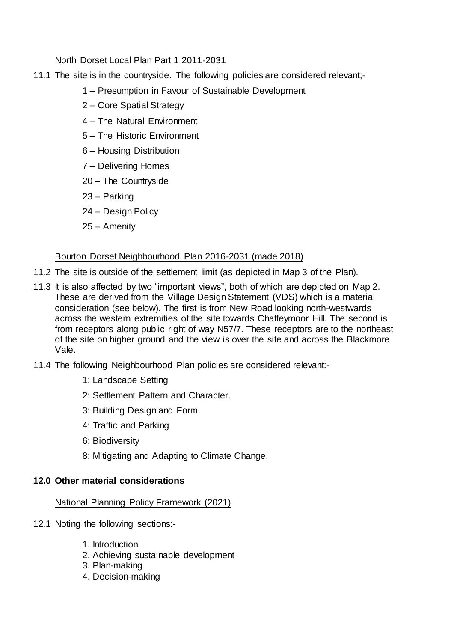# North Dorset Local Plan Part 1 2011-2031

- 11.1 The site is in the countryside. The following policies are considered relevant;-
	- 1 Presumption in Favour of Sustainable Development
	- 2 Core Spatial Strategy
	- 4 The Natural Environment
	- 5 The Historic Environment
	- 6 Housing Distribution
	- 7 Delivering Homes
	- 20 The Countryside
	- 23 Parking
	- 24 Design Policy
	- 25 Amenity

# Bourton Dorset Neighbourhood Plan 2016-2031 (made 2018)

- 11.2 The site is outside of the settlement limit (as depicted in Map 3 of the Plan).
- 11.3 It is also affected by two "important views", both of which are depicted on Map 2. These are derived from the Village Design Statement (VDS) which is a material consideration (see below). The first is from New Road looking north-westwards across the western extremities of the site towards Chaffeymoor Hill. The second is from receptors along public right of way N57/7. These receptors are to the northeast of the site on higher ground and the view is over the site and across the Blackmore Vale.
- 11.4 The following Neighbourhood Plan policies are considered relevant:-
	- 1: Landscape Setting
	- 2: Settlement Pattern and Character.
	- 3: Building Design and Form.
	- 4: Traffic and Parking
	- 6: Biodiversity
	- 8: Mitigating and Adapting to Climate Change.

# **12.0 Other material considerations**

# National Planning Policy Framework (2021)

- 12.1 Noting the following sections:-
	- 1. Introduction
	- 2. Achieving sustainable development
	- 3. Plan-making
	- 4. Decision-making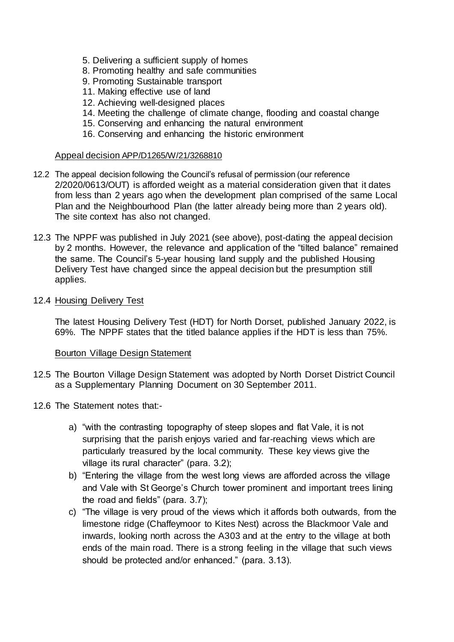- 5. Delivering a sufficient supply of homes
- 8. Promoting healthy and safe communities
- 9. Promoting Sustainable transport
- 11. Making effective use of land
- 12. Achieving well-designed places
- 14. Meeting the challenge of climate change, flooding and coastal change
- 15. Conserving and enhancing the natural environment
- 16. Conserving and enhancing the historic environment

#### Appeal decision APP/D1265/W/21/3268810

- 12.2 The appeal decision following the Council's refusal of permission (our reference 2/2020/0613/OUT) is afforded weight as a material consideration given that it dates from less than 2 years ago when the development plan comprised of the same Local Plan and the Neighbourhood Plan (the latter already being more than 2 years old). The site context has also not changed.
- 12.3 The NPPF was published in July 2021 (see above), post-dating the appeal decision by 2 months. However, the relevance and application of the "tilted balance" remained the same. The Council's 5-year housing land supply and the published Housing Delivery Test have changed since the appeal decision but the presumption still applies.

#### 12.4 Housing Delivery Test

The latest Housing Delivery Test (HDT) for North Dorset, published January 2022, is 69%. The NPPF states that the titled balance applies if the HDT is less than 75%.

#### Bourton Village Design Statement

- 12.5 The Bourton Village Design Statement was adopted by North Dorset District Council as a Supplementary Planning Document on 30 September 2011.
- 12.6 The Statement notes that:
	- a) "with the contrasting topography of steep slopes and flat Vale, it is not surprising that the parish enjoys varied and far-reaching views which are particularly treasured by the local community. These key views give the village its rural character" (para. 3.2);
	- b) "Entering the village from the west long views are afforded across the village and Vale with St George's Church tower prominent and important trees lining the road and fields" (para. 3.7);
	- c) "The village is very proud of the views which it affords both outwards, from the limestone ridge (Chaffeymoor to Kites Nest) across the Blackmoor Vale and inwards, looking north across the A303 and at the entry to the village at both ends of the main road. There is a strong feeling in the village that such views should be protected and/or enhanced." (para. 3.13).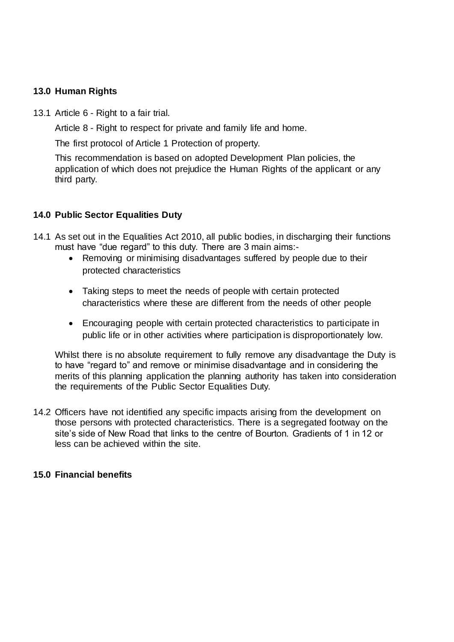## **13.0 Human Rights**

13.1 Article 6 - Right to a fair trial.

Article 8 - Right to respect for private and family life and home.

The first protocol of Article 1 Protection of property.

This recommendation is based on adopted Development Plan policies, the application of which does not prejudice the Human Rights of the applicant or any third party.

## **14.0 Public Sector Equalities Duty**

- 14.1 As set out in the Equalities Act 2010, all public bodies, in discharging their functions must have "due regard" to this duty. There are 3 main aims:-
	- Removing or minimising disadvantages suffered by people due to their protected characteristics
	- Taking steps to meet the needs of people with certain protected characteristics where these are different from the needs of other people
	- Encouraging people with certain protected characteristics to participate in public life or in other activities where participation is disproportionately low.

Whilst there is no absolute requirement to fully remove any disadvantage the Duty is to have "regard to" and remove or minimise disadvantage and in considering the merits of this planning application the planning authority has taken into consideration the requirements of the Public Sector Equalities Duty.

14.2 Officers have not identified any specific impacts arising from the development on those persons with protected characteristics. There is a segregated footway on the site's side of New Road that links to the centre of Bourton. Gradients of 1 in 12 or less can be achieved within the site.

## **15.0 Financial benefits**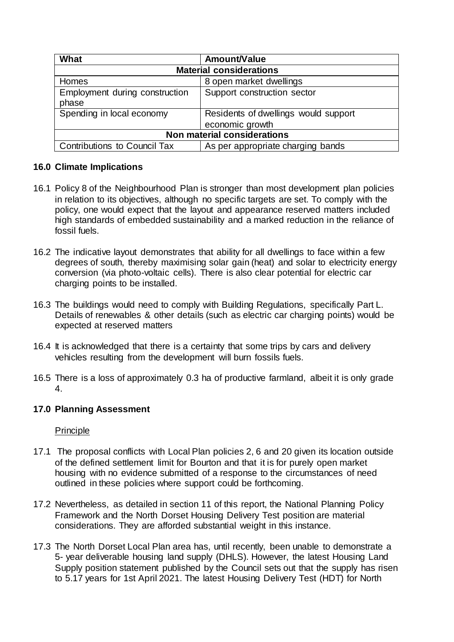| What                                | Amount/Value                         |  |  |
|-------------------------------------|--------------------------------------|--|--|
| <b>Material considerations</b>      |                                      |  |  |
| Homes                               | 8 open market dwellings              |  |  |
| Employment during construction      | Support construction sector          |  |  |
| phase                               |                                      |  |  |
| Spending in local economy           | Residents of dwellings would support |  |  |
|                                     | economic growth                      |  |  |
| <b>Non material considerations</b>  |                                      |  |  |
| <b>Contributions to Council Tax</b> | As per appropriate charging bands    |  |  |

# **16.0 Climate Implications**

- 16.1 Policy 8 of the Neighbourhood Plan is stronger than most development plan policies in relation to its objectives, although no specific targets are set. To comply with the policy, one would expect that the layout and appearance reserved matters included high standards of embedded sustainability and a marked reduction in the reliance of fossil fuels.
- 16.2 The indicative layout demonstrates that ability for all dwellings to face within a few degrees of south, thereby maximising solar gain (heat) and solar to electricity energy conversion (via photo-voltaic cells). There is also clear potential for electric car charging points to be installed.
- 16.3 The buildings would need to comply with Building Regulations, specifically Part L. Details of renewables & other details (such as electric car charging points) would be expected at reserved matters
- 16.4 It is acknowledged that there is a certainty that some trips by cars and delivery vehicles resulting from the development will burn fossils fuels.
- 16.5 There is a loss of approximately 0.3 ha of productive farmland, albeit it is only grade 4.

# **17.0 Planning Assessment**

# Principle

- 17.1 The proposal conflicts with Local Plan policies 2, 6 and 20 given its location outside of the defined settlement limit for Bourton and that it is for purely open market housing with no evidence submitted of a response to the circumstances of need outlined in these policies where support could be forthcoming.
- 17.2 Nevertheless, as detailed in section 11 of this report, the National Planning Policy Framework and the North Dorset Housing Delivery Test position are material considerations. They are afforded substantial weight in this instance.
- 17.3 The North Dorset Local Plan area has, until recently, been unable to demonstrate a 5- year deliverable housing land supply (DHLS). However, the latest Housing Land Supply position statement published by the Council sets out that the supply has risen to 5.17 years for 1st April 2021. The latest Housing Delivery Test (HDT) for North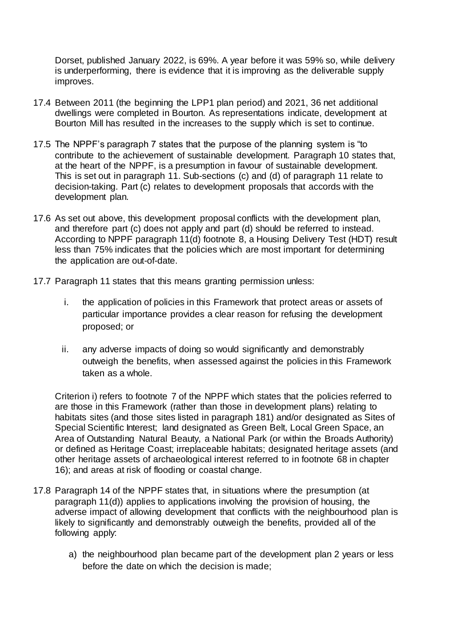Dorset, published January 2022, is 69%. A year before it was 59% so, while delivery is underperforming, there is evidence that it is improving as the deliverable supply improves.

- 17.4 Between 2011 (the beginning the LPP1 plan period) and 2021, 36 net additional dwellings were completed in Bourton. As representations indicate, development at Bourton Mill has resulted in the increases to the supply which is set to continue.
- 17.5 The NPPF's paragraph 7 states that the purpose of the planning system is "to contribute to the achievement of sustainable development. Paragraph 10 states that, at the heart of the NPPF, is a presumption in favour of sustainable development. This is set out in paragraph 11. Sub-sections (c) and (d) of paragraph 11 relate to decision-taking. Part (c) relates to development proposals that accords with the development plan.
- 17.6 As set out above, this development proposal conflicts with the development plan, and therefore part (c) does not apply and part (d) should be referred to instead. According to NPPF paragraph 11(d) footnote 8, a Housing Delivery Test (HDT) result less than 75% indicates that the policies which are most important for determining the application are out-of-date.
- 17.7 Paragraph 11 states that this means granting permission unless:
	- i. the application of policies in this Framework that protect areas or assets of particular importance provides a clear reason for refusing the development proposed; or
	- ii. any adverse impacts of doing so would significantly and demonstrably outweigh the benefits, when assessed against the policies in this Framework taken as a whole.

Criterion i) refers to footnote 7 of the NPPF which states that the policies referred to are those in this Framework (rather than those in development plans) relating to habitats sites (and those sites listed in paragraph 181) and/or designated as Sites of Special Scientific Interest; land designated as Green Belt, Local Green Space, an Area of Outstanding Natural Beauty, a National Park (or within the Broads Authority) or defined as Heritage Coast; irreplaceable habitats; designated heritage assets (and other heritage assets of archaeological interest referred to in footnote 68 in chapter 16); and areas at risk of flooding or coastal change.

- 17.8 Paragraph 14 of the NPPF states that, in situations where the presumption (at paragraph 11(d)) applies to applications involving the provision of housing, the adverse impact of allowing development that conflicts with the neighbourhood plan is likely to significantly and demonstrably outweigh the benefits, provided all of the following apply:
	- a) the neighbourhood plan became part of the development plan 2 years or less before the date on which the decision is made;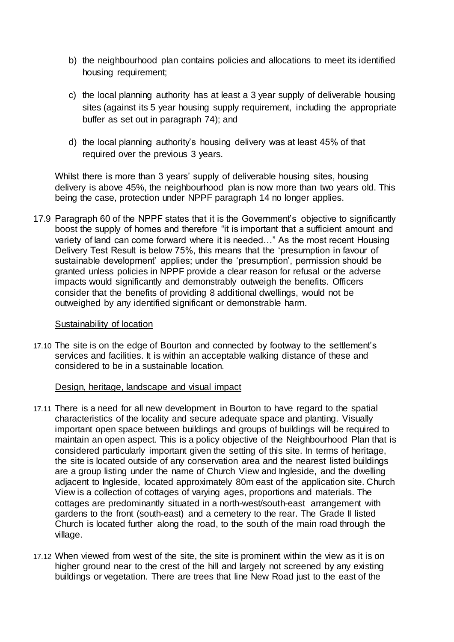- b) the neighbourhood plan contains policies and allocations to meet its identified housing requirement;
- c) the local planning authority has at least a 3 year supply of deliverable housing sites (against its 5 year housing supply requirement, including the appropriate buffer as set out in paragraph 74); and
- d) the local planning authority's housing delivery was at least 45% of that required over the previous 3 years.

Whilst there is more than 3 years' supply of deliverable housing sites, housing delivery is above 45%, the neighbourhood plan is now more than two years old. This being the case, protection under NPPF paragraph 14 no longer applies.

17.9 Paragraph 60 of the NPPF states that it is the Government's objective to significantly boost the supply of homes and therefore "it is important that a sufficient amount and variety of land can come forward where it is needed…" As the most recent Housing Delivery Test Result is below 75%, this means that the 'presumption in favour of sustainable development' applies; under the 'presumption', permission should be granted unless policies in NPPF provide a clear reason for refusal or the adverse impacts would significantly and demonstrably outweigh the benefits. Officers consider that the benefits of providing 8 additional dwellings, would not be outweighed by any identified significant or demonstrable harm.

#### Sustainability of location

17.10 The site is on the edge of Bourton and connected by footway to the settlement's services and facilities. It is within an acceptable walking distance of these and considered to be in a sustainable location.

## Design, heritage, landscape and visual impact

- 17.11 There is a need for all new development in Bourton to have regard to the spatial characteristics of the locality and secure adequate space and planting. Visually important open space between buildings and groups of buildings will be required to maintain an open aspect. This is a policy objective of the Neighbourhood Plan that is considered particularly important given the setting of this site. In terms of heritage, the site is located outside of any conservation area and the nearest listed buildings are a group listing under the name of Church View and Ingleside, and the dwelling adjacent to Ingleside, located approximately 80m east of the application site. Church View is a collection of cottages of varying ages, proportions and materials. The cottages are predominantly situated in a north-west/south-east arrangement with gardens to the front (south-east) and a cemetery to the rear. The Grade II listed Church is located further along the road, to the south of the main road through the village.
- 17.12 When viewed from west of the site, the site is prominent within the view as it is on higher ground near to the crest of the hill and largely not screened by any existing buildings or vegetation. There are trees that line New Road just to the east of the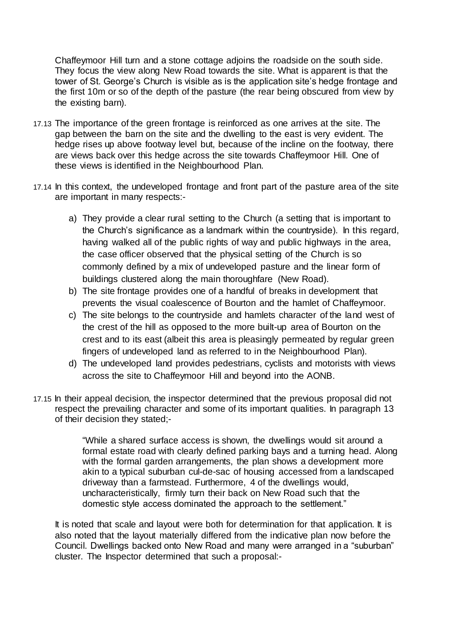Chaffeymoor Hill turn and a stone cottage adjoins the roadside on the south side. They focus the view along New Road towards the site. What is apparent is that the tower of St. George's Church is visible as is the application site's hedge frontage and the first 10m or so of the depth of the pasture (the rear being obscured from view by the existing barn).

- 17.13 The importance of the green frontage is reinforced as one arrives at the site. The gap between the barn on the site and the dwelling to the east is very evident. The hedge rises up above footway level but, because of the incline on the footway, there are views back over this hedge across the site towards Chaffeymoor Hill. One of these views is identified in the Neighbourhood Plan.
- 17.14 In this context, the undeveloped frontage and front part of the pasture area of the site are important in many respects:
	- a) They provide a clear rural setting to the Church (a setting that is important to the Church's significance as a landmark within the countryside). In this regard, having walked all of the public rights of way and public highways in the area, the case officer observed that the physical setting of the Church is so commonly defined by a mix of undeveloped pasture and the linear form of buildings clustered along the main thoroughfare (New Road).
	- b) The site frontage provides one of a handful of breaks in development that prevents the visual coalescence of Bourton and the hamlet of Chaffeymoor.
	- c) The site belongs to the countryside and hamlets character of the land west of the crest of the hill as opposed to the more built-up area of Bourton on the crest and to its east (albeit this area is pleasingly permeated by regular green fingers of undeveloped land as referred to in the Neighbourhood Plan).
	- d) The undeveloped land provides pedestrians, cyclists and motorists with views across the site to Chaffeymoor Hill and beyond into the AONB.
- 17.15 In their appeal decision, the inspector determined that the previous proposal did not respect the prevailing character and some of its important qualities. In paragraph 13 of their decision they stated;-

"While a shared surface access is shown, the dwellings would sit around a formal estate road with clearly defined parking bays and a turning head. Along with the formal garden arrangements, the plan shows a development more akin to a typical suburban cul-de-sac of housing accessed from a landscaped driveway than a farmstead. Furthermore, 4 of the dwellings would, uncharacteristically, firmly turn their back on New Road such that the domestic style access dominated the approach to the settlement."

It is noted that scale and layout were both for determination for that application. It is also noted that the layout materially differed from the indicative plan now before the Council. Dwellings backed onto New Road and many were arranged in a "suburban" cluster. The Inspector determined that such a proposal:-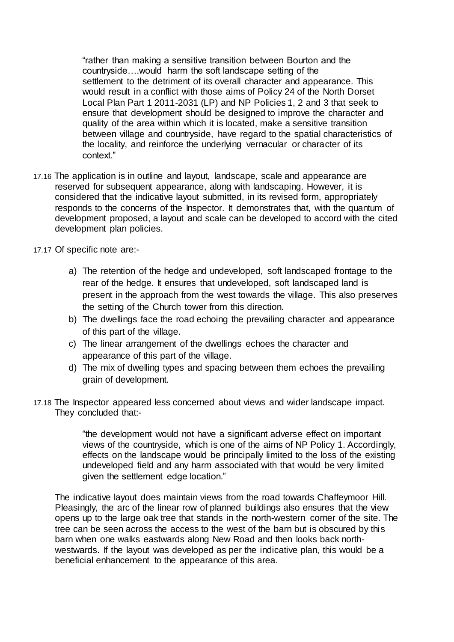"rather than making a sensitive transition between Bourton and the countryside….would harm the soft landscape setting of the settlement to the detriment of its overall character and appearance. This would result in a conflict with those aims of Policy 24 of the North Dorset Local Plan Part 1 2011-2031 (LP) and NP Policies 1, 2 and 3 that seek to ensure that development should be designed to improve the character and quality of the area within which it is located, make a sensitive transition between village and countryside, have regard to the spatial characteristics of the locality, and reinforce the underlying vernacular or character of its context."

- 17.16 The application is in outline and layout, landscape, scale and appearance are reserved for subsequent appearance, along with landscaping. However, it is considered that the indicative layout submitted, in its revised form, appropriately responds to the concerns of the Inspector. It demonstrates that, with the quantum of development proposed, a layout and scale can be developed to accord with the cited development plan policies.
- 17.17 Of specific note are:
	- a) The retention of the hedge and undeveloped, soft landscaped frontage to the rear of the hedge. It ensures that undeveloped, soft landscaped land is present in the approach from the west towards the village. This also preserves the setting of the Church tower from this direction.
	- b) The dwellings face the road echoing the prevailing character and appearance of this part of the village.
	- c) The linear arrangement of the dwellings echoes the character and appearance of this part of the village.
	- d) The mix of dwelling types and spacing between them echoes the prevailing grain of development.
- 17.18 The Inspector appeared less concerned about views and wider landscape impact. They concluded that:-

"the development would not have a significant adverse effect on important views of the countryside, which is one of the aims of NP Policy 1. Accordingly, effects on the landscape would be principally limited to the loss of the existing undeveloped field and any harm associated with that would be very limited given the settlement edge location."

The indicative layout does maintain views from the road towards Chaffeymoor Hill. Pleasingly, the arc of the linear row of planned buildings also ensures that the view opens up to the large oak tree that stands in the north-western corner of the site. The tree can be seen across the access to the west of the barn but is obscured by this barn when one walks eastwards along New Road and then looks back northwestwards. If the layout was developed as per the indicative plan, this would be a beneficial enhancement to the appearance of this area.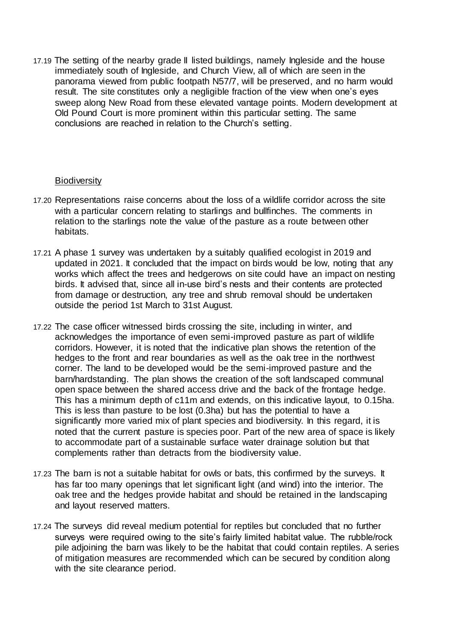17.19 The setting of the nearby grade II listed buildings, namely Ingleside and the house immediately south of Ingleside, and Church View, all of which are seen in the panorama viewed from public footpath N57/7, will be preserved, and no harm would result. The site constitutes only a negligible fraction of the view when one's eyes sweep along New Road from these elevated vantage points. Modern development at Old Pound Court is more prominent within this particular setting. The same conclusions are reached in relation to the Church's setting.

## **Biodiversity**

- 17.20 Representations raise concerns about the loss of a wildlife corridor across the site with a particular concern relating to starlings and bullfinches. The comments in relation to the starlings note the value of the pasture as a route between other habitats.
- 17.21 A phase 1 survey was undertaken by a suitably qualified ecologist in 2019 and updated in 2021. It concluded that the impact on birds would be low, noting that any works which affect the trees and hedgerows on site could have an impact on nesting birds. It advised that, since all in-use bird's nests and their contents are protected from damage or destruction, any tree and shrub removal should be undertaken outside the period 1st March to 31st August.
- 17.22 The case officer witnessed birds crossing the site, including in winter, and acknowledges the importance of even semi-improved pasture as part of wildlife corridors. However, it is noted that the indicative plan shows the retention of the hedges to the front and rear boundaries as well as the oak tree in the northwest corner. The land to be developed would be the semi-improved pasture and the barn/hardstanding. The plan shows the creation of the soft landscaped communal open space between the shared access drive and the back of the frontage hedge. This has a minimum depth of c11m and extends, on this indicative layout, to 0.15ha. This is less than pasture to be lost (0.3ha) but has the potential to have a significantly more varied mix of plant species and biodiversity. In this regard, it is noted that the current pasture is species poor. Part of the new area of space is likely to accommodate part of a sustainable surface water drainage solution but that complements rather than detracts from the biodiversity value.
- 17.23 The barn is not a suitable habitat for owls or bats, this confirmed by the surveys. It has far too many openings that let significant light (and wind) into the interior. The oak tree and the hedges provide habitat and should be retained in the landscaping and layout reserved matters.
- 17.24 The surveys did reveal medium potential for reptiles but concluded that no further surveys were required owing to the site's fairly limited habitat value. The rubble/rock pile adjoining the barn was likely to be the habitat that could contain reptiles. A series of mitigation measures are recommended which can be secured by condition along with the site clearance period.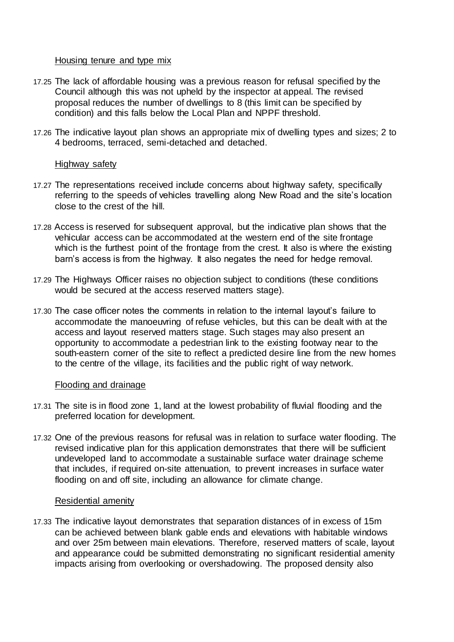### Housing tenure and type mix

- 17.25 The lack of affordable housing was a previous reason for refusal specified by the Council although this was not upheld by the inspector at appeal. The revised proposal reduces the number of dwellings to 8 (this limit can be specified by condition) and this falls below the Local Plan and NPPF threshold.
- 17.26 The indicative layout plan shows an appropriate mix of dwelling types and sizes; 2 to 4 bedrooms, terraced, semi-detached and detached.

### Highway safety

- 17.27 The representations received include concerns about highway safety, specifically referring to the speeds of vehicles travelling along New Road and the site's location close to the crest of the hill.
- 17.28 Access is reserved for subsequent approval, but the indicative plan shows that the vehicular access can be accommodated at the western end of the site frontage which is the furthest point of the frontage from the crest. It also is where the existing barn's access is from the highway. It also negates the need for hedge removal.
- 17.29 The Highways Officer raises no objection subject to conditions (these conditions would be secured at the access reserved matters stage).
- 17.30 The case officer notes the comments in relation to the internal layout's failure to accommodate the manoeuvring of refuse vehicles, but this can be dealt with at the access and layout reserved matters stage. Such stages may also present an opportunity to accommodate a pedestrian link to the existing footway near to the south-eastern corner of the site to reflect a predicted desire line from the new homes to the centre of the village, its facilities and the public right of way network.

## Flooding and drainage

- 17.31 The site is in flood zone 1, land at the lowest probability of fluvial flooding and the preferred location for development.
- 17.32 One of the previous reasons for refusal was in relation to surface water flooding. The revised indicative plan for this application demonstrates that there will be sufficient undeveloped land to accommodate a sustainable surface water drainage scheme that includes, if required on-site attenuation, to prevent increases in surface water flooding on and off site, including an allowance for climate change.

#### Residential amenity

17.33 The indicative layout demonstrates that separation distances of in excess of 15m can be achieved between blank gable ends and elevations with habitable windows and over 25m between main elevations. Therefore, reserved matters of scale, layout and appearance could be submitted demonstrating no significant residential amenity impacts arising from overlooking or overshadowing. The proposed density also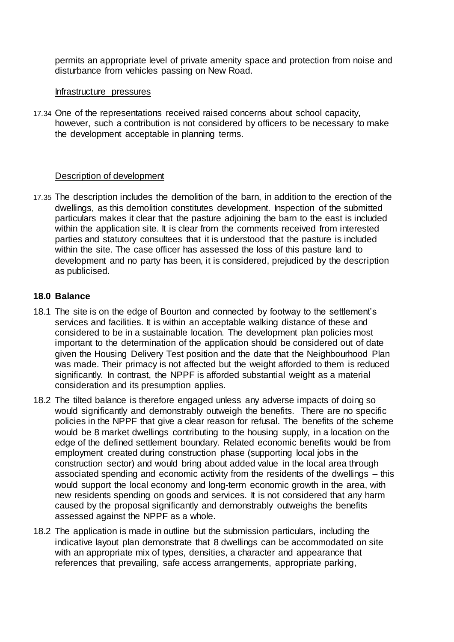permits an appropriate level of private amenity space and protection from noise and disturbance from vehicles passing on New Road.

#### Infrastructure pressures

17.34 One of the representations received raised concerns about school capacity, however, such a contribution is not considered by officers to be necessary to make the development acceptable in planning terms.

## Description of development

17.35 The description includes the demolition of the barn, in addition to the erection of the dwellings, as this demolition constitutes development. Inspection of the submitted particulars makes it clear that the pasture adjoining the barn to the east is included within the application site. It is clear from the comments received from interested parties and statutory consultees that it is understood that the pasture is included within the site. The case officer has assessed the loss of this pasture land to development and no party has been, it is considered, prejudiced by the description as publicised.

## **18.0 Balance**

- 18.1 The site is on the edge of Bourton and connected by footway to the settlement's services and facilities. It is within an acceptable walking distance of these and considered to be in a sustainable location. The development plan policies most important to the determination of the application should be considered out of date given the Housing Delivery Test position and the date that the Neighbourhood Plan was made. Their primacy is not affected but the weight afforded to them is reduced significantly. In contrast, the NPPF is afforded substantial weight as a material consideration and its presumption applies.
- 18.2 The tilted balance is therefore engaged unless any adverse impacts of doing so would significantly and demonstrably outweigh the benefits. There are no specific policies in the NPPF that give a clear reason for refusal. The benefits of the scheme would be 8 market dwellings contributing to the housing supply, in a location on the edge of the defined settlement boundary. Related economic benefits would be from employment created during construction phase (supporting local jobs in the construction sector) and would bring about added value in the local area through associated spending and economic activity from the residents of the dwellings – this would support the local economy and long-term economic growth in the area, with new residents spending on goods and services. It is not considered that any harm caused by the proposal significantly and demonstrably outweighs the benefits assessed against the NPPF as a whole.
- 18.2 The application is made in outline but the submission particulars, including the indicative layout plan demonstrate that 8 dwellings can be accommodated on site with an appropriate mix of types, densities, a character and appearance that references that prevailing, safe access arrangements, appropriate parking,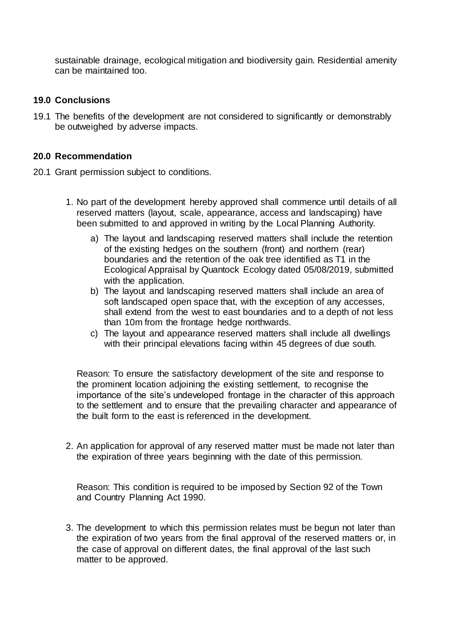sustainable drainage, ecological mitigation and biodiversity gain. Residential amenity can be maintained too.

## **19.0 Conclusions**

19.1 The benefits of the development are not considered to significantly or demonstrably be outweighed by adverse impacts.

## **20.0 Recommendation**

- 20.1 Grant permission subject to conditions.
	- 1. No part of the development hereby approved shall commence until details of all reserved matters (layout, scale, appearance, access and landscaping) have been submitted to and approved in writing by the Local Planning Authority.
		- a) The layout and landscaping reserved matters shall include the retention of the existing hedges on the southern (front) and northern (rear) boundaries and the retention of the oak tree identified as T1 in the Ecological Appraisal by Quantock Ecology dated 05/08/2019, submitted with the application.
		- b) The layout and landscaping reserved matters shall include an area of soft landscaped open space that, with the exception of any accesses, shall extend from the west to east boundaries and to a depth of not less than 10m from the frontage hedge northwards.
		- c) The layout and appearance reserved matters shall include all dwellings with their principal elevations facing within 45 degrees of due south.

Reason: To ensure the satisfactory development of the site and response to the prominent location adjoining the existing settlement, to recognise the importance of the site's undeveloped frontage in the character of this approach to the settlement and to ensure that the prevailing character and appearance of the built form to the east is referenced in the development.

2. An application for approval of any reserved matter must be made not later than the expiration of three years beginning with the date of this permission.

Reason: This condition is required to be imposed by Section 92 of the Town and Country Planning Act 1990.

3. The development to which this permission relates must be begun not later than the expiration of two years from the final approval of the reserved matters or, in the case of approval on different dates, the final approval of the last such matter to be approved.